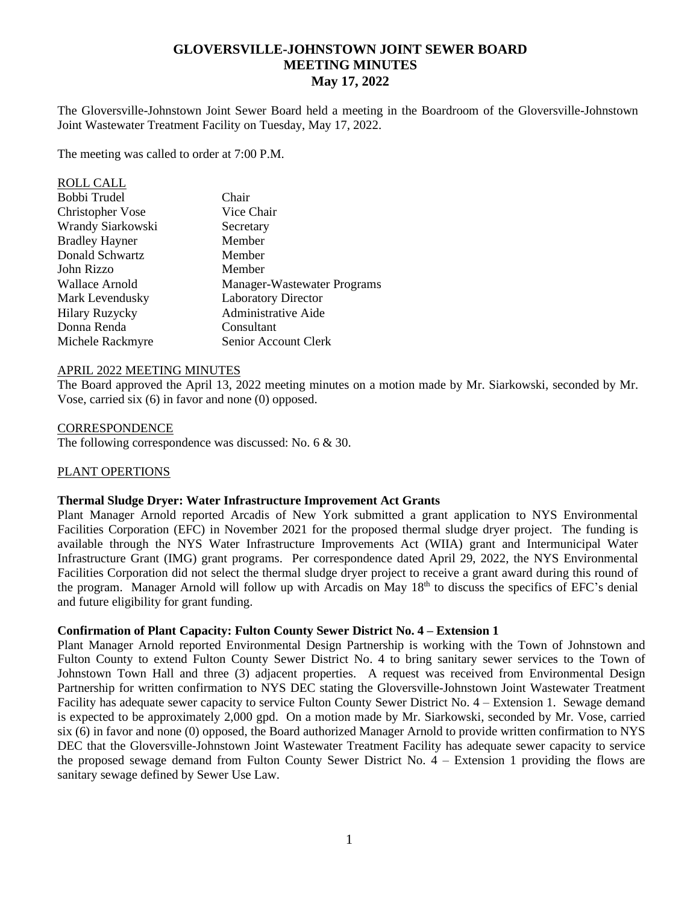# **GLOVERSVILLE-JOHNSTOWN JOINT SEWER BOARD MEETING MINUTES May 17, 2022**

The Gloversville-Johnstown Joint Sewer Board held a meeting in the Boardroom of the Gloversville-Johnstown Joint Wastewater Treatment Facility on Tuesday, May 17, 2022.

The meeting was called to order at 7:00 P.M.

| <b>ROLL CALL</b>        |                             |
|-------------------------|-----------------------------|
| Bobbi Trudel            | Chair                       |
| <b>Christopher Vose</b> | Vice Chair                  |
| Wrandy Siarkowski       | Secretary                   |
| <b>Bradley Hayner</b>   | Member                      |
| Donald Schwartz         | Member                      |
| John Rizzo              | Member                      |
| Wallace Arnold          | Manager-Wastewater Programs |
| Mark Levendusky         | <b>Laboratory Director</b>  |
| <b>Hilary Ruzycky</b>   | Administrative Aide         |
| Donna Renda             | Consultant                  |
| Michele Rackmyre        | Senior Account Clerk        |
|                         |                             |

#### APRIL 2022 MEETING MINUTES

The Board approved the April 13, 2022 meeting minutes on a motion made by Mr. Siarkowski, seconded by Mr. Vose, carried six (6) in favor and none (0) opposed.

#### **CORRESPONDENCE**

The following correspondence was discussed: No. 6 & 30.

### PLANT OPERTIONS

#### **Thermal Sludge Dryer: Water Infrastructure Improvement Act Grants**

Plant Manager Arnold reported Arcadis of New York submitted a grant application to NYS Environmental Facilities Corporation (EFC) in November 2021 for the proposed thermal sludge dryer project. The funding is available through the NYS Water Infrastructure Improvements Act (WIIA) grant and Intermunicipal Water Infrastructure Grant (IMG) grant programs. Per correspondence dated April 29, 2022, the NYS Environmental Facilities Corporation did not select the thermal sludge dryer project to receive a grant award during this round of the program. Manager Arnold will follow up with Arcadis on May 18<sup>th</sup> to discuss the specifics of EFC's denial and future eligibility for grant funding.

#### **Confirmation of Plant Capacity: Fulton County Sewer District No. 4 – Extension 1**

Plant Manager Arnold reported Environmental Design Partnership is working with the Town of Johnstown and Fulton County to extend Fulton County Sewer District No. 4 to bring sanitary sewer services to the Town of Johnstown Town Hall and three (3) adjacent properties. A request was received from Environmental Design Partnership for written confirmation to NYS DEC stating the Gloversville-Johnstown Joint Wastewater Treatment Facility has adequate sewer capacity to service Fulton County Sewer District No. 4 – Extension 1. Sewage demand is expected to be approximately 2,000 gpd. On a motion made by Mr. Siarkowski, seconded by Mr. Vose, carried six (6) in favor and none (0) opposed, the Board authorized Manager Arnold to provide written confirmation to NYS DEC that the Gloversville-Johnstown Joint Wastewater Treatment Facility has adequate sewer capacity to service the proposed sewage demand from Fulton County Sewer District No. 4 – Extension 1 providing the flows are sanitary sewage defined by Sewer Use Law.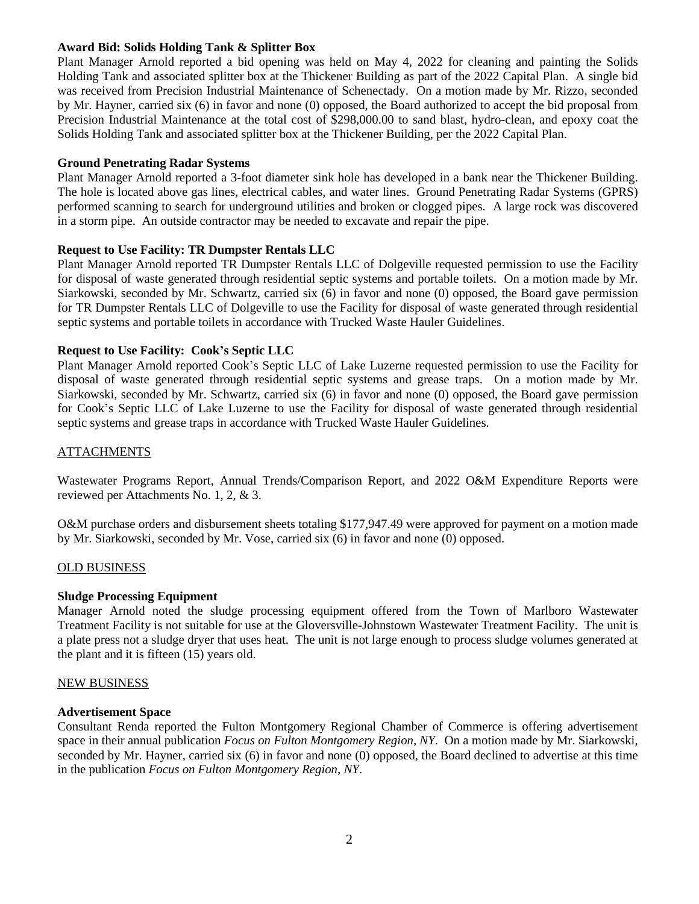### **Award Bid: Solids Holding Tank & Splitter Box**

Plant Manager Arnold reported a bid opening was held on May 4, 2022 for cleaning and painting the Solids Holding Tank and associated splitter box at the Thickener Building as part of the 2022 Capital Plan. A single bid was received from Precision Industrial Maintenance of Schenectady. On a motion made by Mr. Rizzo, seconded by Mr. Hayner, carried six (6) in favor and none (0) opposed, the Board authorized to accept the bid proposal from Precision Industrial Maintenance at the total cost of \$298,000.00 to sand blast, hydro-clean, and epoxy coat the Solids Holding Tank and associated splitter box at the Thickener Building, per the 2022 Capital Plan.

# **Ground Penetrating Radar Systems**

Plant Manager Arnold reported a 3-foot diameter sink hole has developed in a bank near the Thickener Building. The hole is located above gas lines, electrical cables, and water lines. Ground Penetrating Radar Systems (GPRS) performed scanning to search for underground utilities and broken or clogged pipes. A large rock was discovered in a storm pipe. An outside contractor may be needed to excavate and repair the pipe.

### **Request to Use Facility: TR Dumpster Rentals LLC**

Plant Manager Arnold reported TR Dumpster Rentals LLC of Dolgeville requested permission to use the Facility for disposal of waste generated through residential septic systems and portable toilets. On a motion made by Mr. Siarkowski, seconded by Mr. Schwartz, carried six (6) in favor and none (0) opposed, the Board gave permission for TR Dumpster Rentals LLC of Dolgeville to use the Facility for disposal of waste generated through residential septic systems and portable toilets in accordance with Trucked Waste Hauler Guidelines.

# **Request to Use Facility: Cook's Septic LLC**

Plant Manager Arnold reported Cook's Septic LLC of Lake Luzerne requested permission to use the Facility for disposal of waste generated through residential septic systems and grease traps. On a motion made by Mr. Siarkowski, seconded by Mr. Schwartz, carried six (6) in favor and none (0) opposed, the Board gave permission for Cook's Septic LLC of Lake Luzerne to use the Facility for disposal of waste generated through residential septic systems and grease traps in accordance with Trucked Waste Hauler Guidelines.

# ATTACHMENTS

Wastewater Programs Report, Annual Trends/Comparison Report, and 2022 O&M Expenditure Reports were reviewed per Attachments No. 1, 2, & 3.

O&M purchase orders and disbursement sheets totaling \$177,947.49 were approved for payment on a motion made by Mr. Siarkowski, seconded by Mr. Vose, carried six (6) in favor and none (0) opposed.

### OLD BUSINESS

# **Sludge Processing Equipment**

Manager Arnold noted the sludge processing equipment offered from the Town of Marlboro Wastewater Treatment Facility is not suitable for use at the Gloversville-Johnstown Wastewater Treatment Facility. The unit is a plate press not a sludge dryer that uses heat. The unit is not large enough to process sludge volumes generated at the plant and it is fifteen (15) years old.

### NEW BUSINESS

### **Advertisement Space**

Consultant Renda reported the Fulton Montgomery Regional Chamber of Commerce is offering advertisement space in their annual publication *Focus on Fulton Montgomery Region, NY*. On a motion made by Mr. Siarkowski, seconded by Mr. Hayner, carried six (6) in favor and none (0) opposed, the Board declined to advertise at this time in the publication *Focus on Fulton Montgomery Region, NY*.